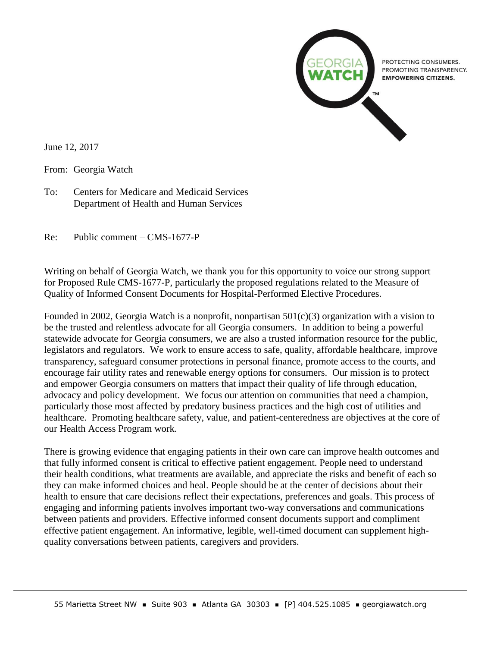

June 12, 2017

From: Georgia Watch

To: Centers for Medicare and Medicaid Services Department of Health and Human Services

Re: Public comment – CMS-1677-P

Writing on behalf of Georgia Watch, we thank you for this opportunity to voice our strong support for Proposed Rule CMS-1677-P, particularly the proposed regulations related to the Measure of Quality of Informed Consent Documents for Hospital-Performed Elective Procedures.

Founded in 2002, Georgia Watch is a nonprofit, nonpartisan 501(c)(3) organization with a vision to be the trusted and relentless advocate for all Georgia consumers. In addition to being a powerful statewide advocate for Georgia consumers, we are also a trusted information resource for the public, legislators and regulators. We work to ensure access to safe, quality, affordable healthcare, improve transparency, safeguard consumer protections in personal finance, promote access to the courts, and encourage fair utility rates and renewable energy options for consumers. Our mission is to protect and empower Georgia consumers on matters that impact their quality of life through education, advocacy and policy development. We focus our attention on communities that need a champion, particularly those most affected by predatory business practices and the high cost of utilities and healthcare. Promoting healthcare safety, value, and patient-centeredness are objectives at the core of our Health Access Program work.

There is growing evidence that engaging patients in their own care can improve health outcomes and that fully informed consent is critical to effective patient engagement. People need to understand their health conditions, what treatments are available, and appreciate the risks and benefit of each so they can make informed choices and heal. People should be at the center of decisions about their health to ensure that care decisions reflect their expectations, preferences and goals. This process of engaging and informing patients involves important two-way conversations and communications between patients and providers. Effective informed consent documents support and compliment effective patient engagement. An informative, legible, well-timed document can supplement highquality conversations between patients, caregivers and providers.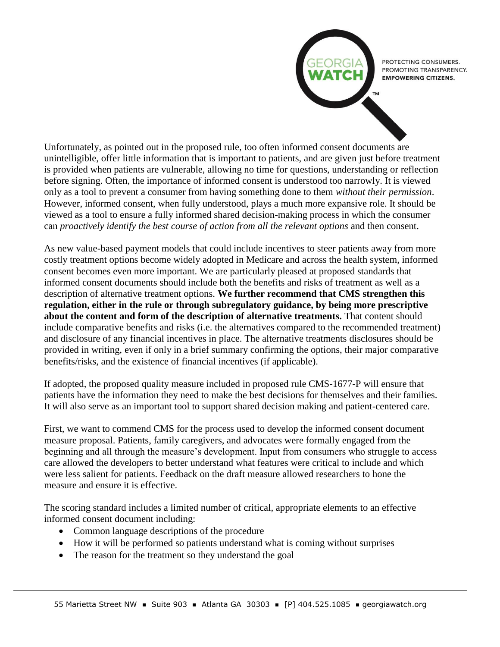PROTECTING CONSUMERS. PROMOTING TRANSPARENCY. **EMPOWERING CITIZENS.** 

Unfortunately, as pointed out in the proposed rule, too often informed consent documents are unintelligible, offer little information that is important to patients, and are given just before treatment is provided when patients are vulnerable, allowing no time for questions, understanding or reflection before signing. Often, the importance of informed consent is understood too narrowly. It is viewed only as a tool to prevent a consumer from having something done to them *without their permission*. However, informed consent, when fully understood, plays a much more expansive role. It should be viewed as a tool to ensure a fully informed shared decision-making process in which the consumer can *proactively identify the best course of action from all the relevant options* and then consent.

As new value-based payment models that could include incentives to steer patients away from more costly treatment options become widely adopted in Medicare and across the health system, informed consent becomes even more important. We are particularly pleased at proposed standards that informed consent documents should include both the benefits and risks of treatment as well as a description of alternative treatment options. **We further recommend that CMS strengthen this regulation, either in the rule or through subregulatory guidance, by being more prescriptive about the content and form of the description of alternative treatments.** That content should include comparative benefits and risks (i.e. the alternatives compared to the recommended treatment) and disclosure of any financial incentives in place. The alternative treatments disclosures should be provided in writing, even if only in a brief summary confirming the options, their major comparative benefits/risks, and the existence of financial incentives (if applicable).

If adopted, the proposed quality measure included in proposed rule CMS-1677-P will ensure that patients have the information they need to make the best decisions for themselves and their families. It will also serve as an important tool to support shared decision making and patient-centered care.

First, we want to commend CMS for the process used to develop the informed consent document measure proposal. Patients, family caregivers, and advocates were formally engaged from the beginning and all through the measure's development. Input from consumers who struggle to access care allowed the developers to better understand what features were critical to include and which were less salient for patients. Feedback on the draft measure allowed researchers to hone the measure and ensure it is effective.

The scoring standard includes a limited number of critical, appropriate elements to an effective informed consent document including:

- Common language descriptions of the procedure
- How it will be performed so patients understand what is coming without surprises
- The reason for the treatment so they understand the goal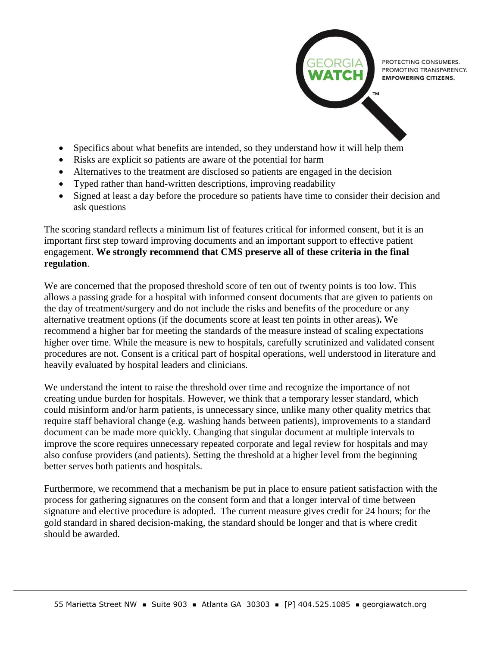

PROTECTING CONSUMERS. PROMOTING TRANSPARENCY. **EMPOWERING CITIZENS.** 

- Specifics about what benefits are intended, so they understand how it will help them
- Risks are explicit so patients are aware of the potential for harm
- Alternatives to the treatment are disclosed so patients are engaged in the decision
- Typed rather than hand-written descriptions, improving readability
- Signed at least a day before the procedure so patients have time to consider their decision and ask questions

The scoring standard reflects a minimum list of features critical for informed consent, but it is an important first step toward improving documents and an important support to effective patient engagement. **We strongly recommend that CMS preserve all of these criteria in the final regulation**.

We are concerned that the proposed threshold score of ten out of twenty points is too low. This allows a passing grade for a hospital with informed consent documents that are given to patients on the day of treatment/surgery and do not include the risks and benefits of the procedure or any alternative treatment options (if the documents score at least ten points in other areas)**.** We recommend a higher bar for meeting the standards of the measure instead of scaling expectations higher over time. While the measure is new to hospitals, carefully scrutinized and validated consent procedures are not. Consent is a critical part of hospital operations, well understood in literature and heavily evaluated by hospital leaders and clinicians.

We understand the intent to raise the threshold over time and recognize the importance of not creating undue burden for hospitals. However, we think that a temporary lesser standard, which could misinform and/or harm patients, is unnecessary since, unlike many other quality metrics that require staff behavioral change (e.g. washing hands between patients), improvements to a standard document can be made more quickly. Changing that singular document at multiple intervals to improve the score requires unnecessary repeated corporate and legal review for hospitals and may also confuse providers (and patients). Setting the threshold at a higher level from the beginning better serves both patients and hospitals.

Furthermore, we recommend that a mechanism be put in place to ensure patient satisfaction with the process for gathering signatures on the consent form and that a longer interval of time between signature and elective procedure is adopted. The current measure gives credit for 24 hours; for the gold standard in shared decision-making, the standard should be longer and that is where credit should be awarded.